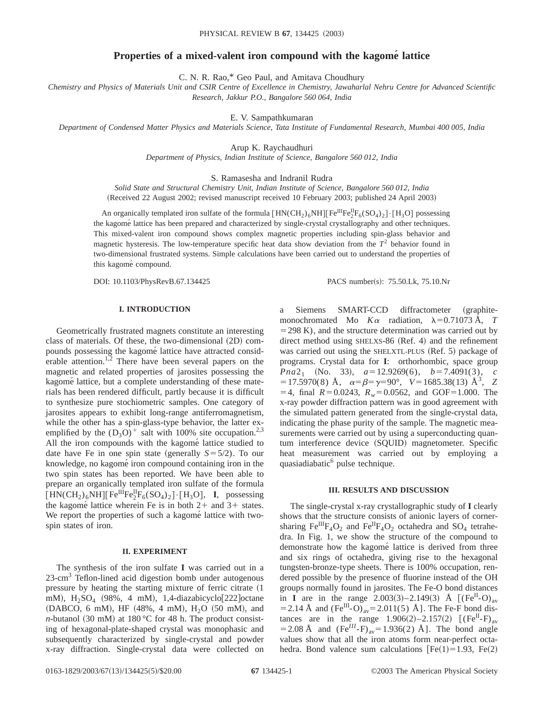# **Properties of a mixed-valent iron compound with the kagome´ lattice**

C. N. R. Rao,\* Geo Paul, and Amitava Choudhury

*Chemistry and Physics of Materials Unit and CSIR Centre of Excellence in Chemistry, Jawaharlal Nehru Centre for Advanced Scientific Research, Jakkur P.O., Bangalore 560 064, India*

E. V. Sampathkumaran

*Department of Condensed Matter Physics and Materials Science, Tata Institute of Fundamental Research, Mumbai 400 005, India*

Arup K. Raychaudhuri

*Department of Physics, Indian Institute of Science, Bangalore 560 012, India*

S. Ramasesha and Indranil Rudra

*Solid State and Structural Chemistry Unit, Indian Institute of Science, Bangalore 560 012, India* (Received 22 August 2002; revised manuscript received 10 February 2003; published 24 April 2003)

An organically templated iron sulfate of the formula  $[HN(CH_2)_6NH][Fe^{III}Fe^{II}_2F_6(SO_4)_2]\cdot [H_3O]$  possessing the kagomé lattice has been prepared and characterized by single-crystal crystallography and other techniques. This mixed-valent iron compound shows complex magnetic properties including spin-glass behavior and magnetic hysteresis. The low-temperature specific heat data show deviation from the  $T<sup>2</sup>$  behavior found in two-dimensional frustrated systems. Simple calculations have been carried out to understand the properties of this kagomé compound.

DOI: 10.1103/PhysRevB.67.134425 PACS number(s): 75.50.Lk, 75.10.Nr

## **I. INTRODUCTION**

Geometrically frustrated magnets constitute an interesting class of materials. Of these, the two-dimensional  $(2D)$  compounds possessing the kagomé lattice have attracted considerable attention.<sup>1,2</sup> There have been several papers on the magnetic and related properties of jarosites possessing the kagomé lattice, but a complete understanding of these materials has been rendered difficult, partly because it is difficult to synthesize pure stochiometric samples. One category of jarosites appears to exhibit long-range antiferromagnetism, while the other has a spin-glass-type behavior, the latter exemplified by the  $(D_3O)^+$  salt with 100% site occupation.<sup>2,3</sup> All the iron compounds with the kagomé lattice studied to date have Fe in one spin state (generally  $S=5/2$ ). To our knowledge, no kagomé iron compound containing iron in the two spin states has been reported. We have been able to prepare an organically templated iron sulfate of the formula  $\text{[HN}(CH_2)_6\text{NH}]\text{[Fe}^{\text{III}}\text{Fe}^{\text{II}}_2\text{Fe}^{\text{G}}(SO_4)_2\text{]}\cdot\text{[H}_3\text{O}],$  **I**, possessing the kagomé lattice wherein Fe is in both  $2+$  and  $3+$  states. We report the properties of such a kagome<sup>s</sup> lattice with twospin states of iron.

## **II. EXPERIMENT**

The synthesis of the iron sulfate **I** was carried out in a  $23$ -cm<sup>3</sup> Teflon-lined acid digestion bomb under autogenous pressure by heating the starting mixture of ferric citrate  $(1)$ mM),  $H_2SO_4$  (98%, 4 mM), 1,4-diazabicyclo[222] octane  $(DABCO, 6 \text{ mM})$ , HF  $(48\%, 4 \text{ mM})$ , H<sub>2</sub>O  $(50 \text{ mM})$ , and *n*-butanol (30 mM) at 180 °C for 48 h. The product consisting of hexagonal-plate-shaped crystal was monophasic and subsequently characterized by single-crystal and powder x-ray diffraction. Single-crystal data were collected on a Siemens SMART-CCD diffractometer (graphitemonochromated Mo  $K\alpha$  radiation,  $\lambda=0.71073$  Å, *T*  $=$  298 K), and the structure determination was carried out by direct method using  $SHELXS-86$  (Ref. 4) and the refinement was carried out using the SHELXTL-PLUS  $(Ref. 5)$  package of programs. Crystal data for **I**: orthorhombic, space group *Pna*2<sub>1</sub> (No. 33),  $a=12.9269(6)$ ,  $b=7.4091(3)$ , *c*  $=$  17.5970(8) Å,  $\alpha = \beta = \gamma = 90^{\circ}$ ,  $V = 1685.38(13)$  Å<sup>3</sup>, *Z*  $=4$ , final  $R=0.0243$ ,  $R_w=0.0562$ , and GOF=1.000. The x-ray powder diffraction pattern was in good agreement with the simulated pattern generated from the single-crystal data, indicating the phase purity of the sample. The magnetic measurements were carried out by using a superconducting quantum interference device (SQUID) magnetometer. Specific heat measurement was carried out by employing a quasiadiabatic<sup>6</sup> pulse technique.

#### **III. RESULTS AND DISCUSSION**

The single-crystal x-ray crystallographic study of **I** clearly shows that the structure consists of anionic layers of cornersharing  $Fe^{III}F_4O_2$  and  $Fe^{II}F_4O_2$  octahedra and  $SO_4$  tetrahedra. In Fig. 1, we show the structure of the compound to demonstrate how the kagomé lattice is derived from three and six rings of octahedra, giving rise to the hexagonal tungsten-bronze-type sheets. There is 100% occupation, rendered possible by the presence of fluorine instead of the OH groups normally found in jarosites. The Fe-O bond distances in **I** are in the range 2.003(3)–2.149(3) Å  $[(Fe^{II}-O)<sub>av</sub>]$ = 2.14 Å and  $(Fe^{III} - O)_{av} = 2.011(5)$  Å]. The Fe-F bond distances are in the range  $1.906(2) - 2.157(2)$   $[(Fe^{II}-F)_{av}]$  $=$  2.08 Å and (Fe<sup>III</sup>-F)<sub>av</sub>=1.936(2) Å]. The bond angle values show that all the iron atoms form near-perfect octahedra. Bond valence sum calculations  $[Fe(1)=1.93, Fe(2)]$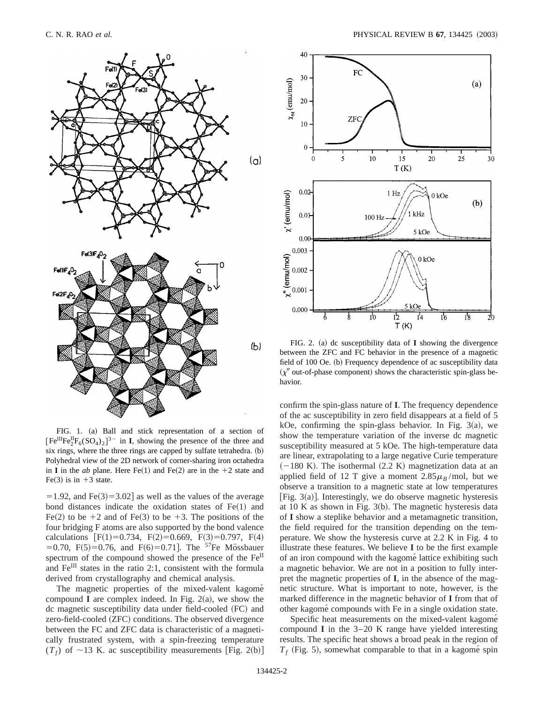

FIG. 1. (a) Ball and stick representation of a section of  $[Fe^{III}Fe^{II}_2F_6(SO_4)_2]^{3-}$  in **I**, showing the presence of the three and six rings, where the three rings are capped by sulfate tetrahedra.  $(b)$ Polyhedral view of the 2D network of corner-sharing iron octahedra in **I** in the *ab* plane. Here Fe(1) and Fe(2) are in the  $+2$  state and Fe(3) is in  $+3$  state.

 $=1.92$ , and Fe(3)=3.02] as well as the values of the average bond distances indicate the oxidation states of  $Fe(1)$  and Fe(2) to be  $+2$  and of Fe(3) to be  $+3$ . The positions of the four bridging F atoms are also supported by the bond valence calculations [F(1)=0.734, F(2)=0.669, F(3)=0.797, F(4)  $=0.70$ , F(5)=0.76, and F(6)=0.71]. The <sup>57</sup>Fe Mössbauer spectrum of the compound showed the presence of the Fe<sup>II</sup> and  $\mathrm{Fe}^{\mathrm{III}}$  states in the ratio 2:1, consistent with the formula derived from crystallography and chemical analysis.

The magnetic properties of the mixed-valent kagomé compound  $I$  are complex indeed. In Fig. 2(a), we show the dc magnetic susceptibility data under field-cooled (FC) and zero-field-cooled (ZFC) conditions. The observed divergence between the FC and ZFC data is characteristic of a magnetically frustrated system, with a spin-freezing temperature  $(T_f)$  of ~13 K. ac susceptibility measurements [Fig. 2(b)]



FIG. 2. (a) dc susceptibility data of  $I$  showing the divergence between the ZFC and FC behavior in the presence of a magnetic field of 100 Oe. (b) Frequency dependence of ac susceptibility data  $(x'$  out-of-phase component) shows the characteristic spin-glass behavior.

confirm the spin-glass nature of **I**. The frequency dependence of the ac susceptibility in zero field disappears at a field of 5 kOe, confirming the spin-glass behavior. In Fig.  $3(a)$ , we show the temperature variation of the inverse dc magnetic susceptibility measured at 5 kOe. The high-temperature data are linear, extrapolating to a large negative Curie temperature  $(-180 \text{ K})$ . The isothermal  $(2.2 \text{ K})$  magnetization data at an applied field of 12 T give a moment  $2.85\mu_B$ /mol, but we observe a transition to a magnetic state at low temperatures [Fig. 3(a)]. Interestingly, we do observe magnetic hysteresis at  $10$  K as shown in Fig.  $3(b)$ . The magnetic hysteresis data of **I** show a steplike behavior and a metamagnetic transition, the field required for the transition depending on the temperature. We show the hysteresis curve at 2.2 K in Fig. 4 to illustrate these features. We believe **I** to be the first example of an iron compound with the kagome<sup>s</sup> lattice exhibiting such a magnetic behavior. We are not in a position to fully interpret the magnetic properties of **I**, in the absence of the magnetic structure. What is important to note, however, is the marked difference in the magnetic behavior of **I** from that of other kagome´ compounds with Fe in a single oxidation state.

Specific heat measurements on the mixed-valent kagomé compound **I** in the 3–20 K range have yielded interesting results. The specific heat shows a broad peak in the region of  $T_f$  (Fig. 5), somewhat comparable to that in a kagome<sup>s</sup> spin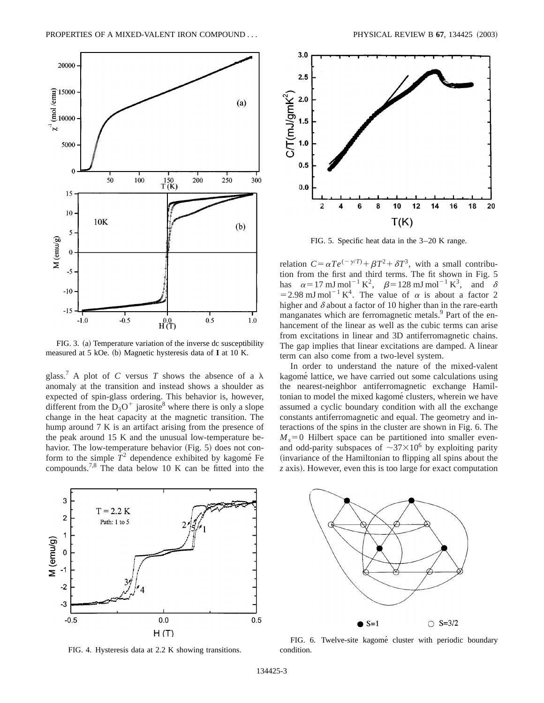

FIG. 3. (a) Temperature variation of the inverse dc susceptibility measured at 5 kOe. (b) Magnetic hysteresis data of **I** at 10 K.

glass.<sup>7</sup> A plot of *C* versus *T* shows the absence of a  $\lambda$ anomaly at the transition and instead shows a shoulder as expected of spin-glass ordering. This behavior is, however, different from the  $D_3O^+$  jarosite<sup>8</sup> where there is only a slope change in the heat capacity at the magnetic transition. The hump around 7 K is an artifact arising from the presence of the peak around 15 K and the unusual low-temperature behavior. The low-temperature behavior  $(Fig. 5)$  does not conform to the simple  $T^2$  dependence exhibited by kagomé Fe compounds.7,8 The data below 10 K can be fitted into the



FIG. 4. Hysteresis data at 2.2 K showing transitions.



FIG. 5. Specific heat data in the 3–20 K range.

relation  $C = \alpha Te^{(-\gamma/T)} + \beta T^2 + \delta T^3$ , with a small contribution from the first and third terms. The fit shown in Fig. 5 has  $\alpha = 17 \text{ mJ mol}^{-1} \text{ K}^2$ ,  $\beta = 128 \text{ mJ mol}^{-1} \text{ K}^3$ , and  $\delta$ = 2.98 mJ mol<sup>-1</sup> K<sup>4</sup>. The value of  $\alpha$  is about a factor 2 higher and  $\delta$  about a factor of 10 higher than in the rare-earth manganates which are ferromagnetic metals.<sup>9</sup> Part of the enhancement of the linear as well as the cubic terms can arise from excitations in linear and 3D antiferromagnetic chains. The gap implies that linear excitations are damped. A linear term can also come from a two-level system.

In order to understand the nature of the mixed-valent kagomé lattice, we have carried out some calculations using the nearest-neighbor antiferromagnetic exchange Hamiltonian to model the mixed kagomé clusters, wherein we have assumed a cyclic boundary condition with all the exchange constants antiferromagnetic and equal. The geometry and interactions of the spins in the cluster are shown in Fig. 6. The  $M<sub>s</sub>=0$  Hilbert space can be partitioned into smaller evenand odd-parity subspaces of  $\sim 37 \times 10^6$  by exploiting parity (invariance of the Hamiltonian to flipping all spins about the z axis). However, even this is too large for exact computation



FIG. 6. Twelve-site kagomé cluster with periodic boundary condition.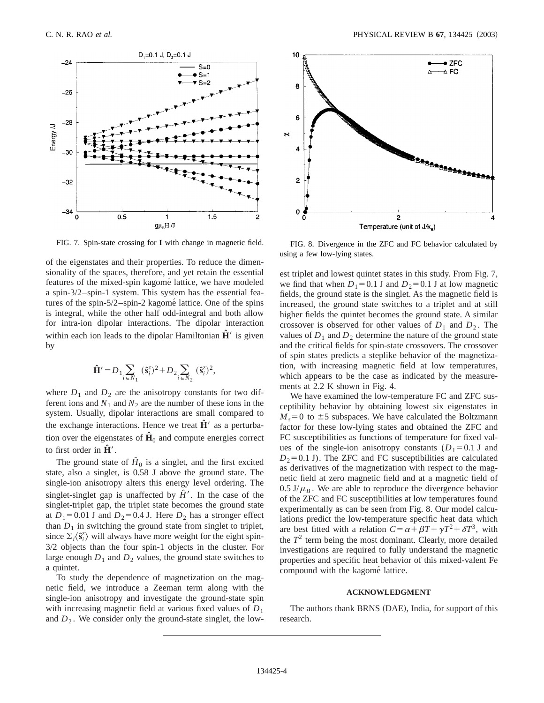

FIG. 7. Spin-state crossing for **I** with change in magnetic field. FIG. 8. Divergence in the ZFC and FC behavior calculated by

of the eigenstates and their properties. To reduce the dimensionality of the spaces, therefore, and yet retain the essential features of the mixed-spin kagomé lattice, we have modeled a spin-3/2–spin-1 system. This system has the essential features of the spin-5/2–spin-2 kagomé lattice. One of the spins is integral, while the other half odd-integral and both allow for intra-ion dipolar interactions. The dipolar interaction within each ion leads to the dipolar Hamiltonian  $\hat{H}'$  is given by

$$
\hat{\mathbf{H}}' = D_1 \sum_{i \in N_1} (\hat{\mathbf{s}}_i^z)^2 + D_2 \sum_{i \in N_2} (\hat{\mathbf{s}}_i^z)^2,
$$

where  $D_1$  and  $D_2$  are the anisotropy constants for two different ions and  $N_1$  and  $N_2$  are the number of these ions in the system. Usually, dipolar interactions are small compared to the exchange interactions. Hence we treat  $\hat{H}'$  as a perturbation over the eigenstates of  $\hat{H}_0$  and compute energies correct to first order in  $\hat{H}'$ .

The ground state of  $\hat{H}_0$  is a singlet, and the first excited state, also a singlet, is 0.58 J above the ground state. The single-ion anisotropy alters this energy level ordering. The singlet-singlet gap is unaffected by  $\hat{H}'$ . In the case of the singlet-triplet gap, the triplet state becomes the ground state at  $D_1$ =0.01 J and  $D_2$ =0.4 J. Here  $D_2$  has a stronger effect than  $D_1$  in switching the ground state from singlet to triplet, since  $\Sigma_i \langle \hat{\mathbf{s}}_i^z \rangle$  will always have more weight for the eight spin-3/2 objects than the four spin-1 objects in the cluster. For large enough  $D_1$  and  $D_2$  values, the ground state switches to a quintet.

To study the dependence of magnetization on the magnetic field, we introduce a Zeeman term along with the single-ion anisotropy and investigate the ground-state spin with increasing magnetic field at various fixed values of  $D_1$ and  $D_2$ . We consider only the ground-state singlet, the low-



using a few low-lying states.

est triplet and lowest quintet states in this study. From Fig. 7, we find that when  $D_1=0.1$  J and  $D_2=0.1$  J at low magnetic fields, the ground state is the singlet. As the magnetic field is increased, the ground state switches to a triplet and at still higher fields the quintet becomes the ground state. A similar crossover is observed for other values of  $D_1$  and  $D_2$ . The values of  $D_1$  and  $D_2$  determine the nature of the ground state and the critical fields for spin-state crossovers. The crossover of spin states predicts a steplike behavior of the magnetization, with increasing magnetic field at low temperatures, which appears to be the case as indicated by the measurements at 2.2 K shown in Fig. 4.

We have examined the low-temperature FC and ZFC susceptibility behavior by obtaining lowest six eigenstates in  $M_s$ =0 to  $\pm$ 5 subspaces. We have calculated the Boltzmann factor for these low-lying states and obtained the ZFC and FC susceptibilities as functions of temperature for fixed values of the single-ion anisotropy constants  $(D_1=0.1 \text{ J}$  and  $D_2=0.1$  J). The ZFC and FC susceptibilities are calculated as derivatives of the magnetization with respect to the magnetic field at zero magnetic field and at a magnetic field of  $0.5 \text{ J}/\mu_B$ . We are able to reproduce the divergence behavior of the ZFC and FC susceptibilities at low temperatures found experimentally as can be seen from Fig. 8. Our model calculations predict the low-temperature specific heat data which are best fitted with a relation  $C = \alpha + \beta T + \gamma T^2 + \delta T^3$ , with the  $T<sup>2</sup>$  term being the most dominant. Clearly, more detailed investigations are required to fully understand the magnetic properties and specific heat behavior of this mixed-valent Fe compound with the kagomé lattice.

#### **ACKNOWLEDGMENT**

The authors thank BRNS (DAE), India, for support of this research.